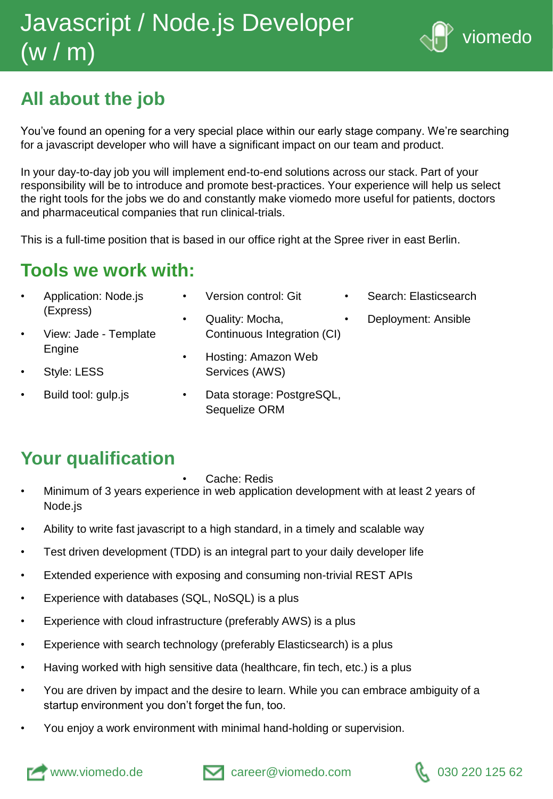# Javascript / Node.js Developer (w / m)



## **All about the job**

You've found an opening for a very special place within our early stage company. We're searching for a javascript developer who will have a significant impact on our team and product.

In your day-to-day job you will implement end-to-end solutions across our stack. Part of your responsibility will be to introduce and promote best-practices. Your experience will help us select the right tools for the jobs we do and constantly make viomedo more useful for patients, doctors and pharmaceutical companies that run clinical-trials.

This is a full-time position that is based in our office right at the Spree river in east Berlin.

### **Tools we work with:**

| $\bullet$ | Application: Node.js<br>(Express) | $\bullet$ | Version control: Git        | $\bullet$ | Search: Elasticsearch |
|-----------|-----------------------------------|-----------|-----------------------------|-----------|-----------------------|
|           |                                   | $\bullet$ | Quality: Mocha,             | $\bullet$ | Deployment: Ansible   |
| $\bullet$ | View: Jade - Template<br>Engine   |           | Continuous Integration (CI) |           |                       |
|           |                                   | $\bullet$ | Hosting: Amazon Web         |           |                       |
| $\bullet$ | Style: LESS                       |           | Services (AWS)              |           |                       |
| $\bullet$ | Duild tool: quin io               |           | Dota ataraga: DootaraCOI    |           |                       |

- Build tool: gulp.js
- Data storage: PostgreSQL, Sequelize ORM

### **Your qualification**

Cache: Redis

- Minimum of 3 years experience in web application development with at least 2 years of Node.js
- Ability to write fast javascript to a high standard, in a timely and scalable way
- Test driven development (TDD) is an integral part to your daily developer life
- Extended experience with exposing and consuming non-trivial REST APIs
- Experience with databases (SQL, NoSQL) is a plus
- Experience with cloud infrastructure (preferably AWS) is a plus
- Experience with search technology (preferably Elasticsearch) is a plus
- Having worked with high sensitive data (healthcare, fin tech, etc.) is a plus
- You are driven by impact and the desire to learn. While you can embrace ambiguity of a startup environment you don't forget the fun, too.
- You enjoy a work environment with minimal hand-holding or supervision.